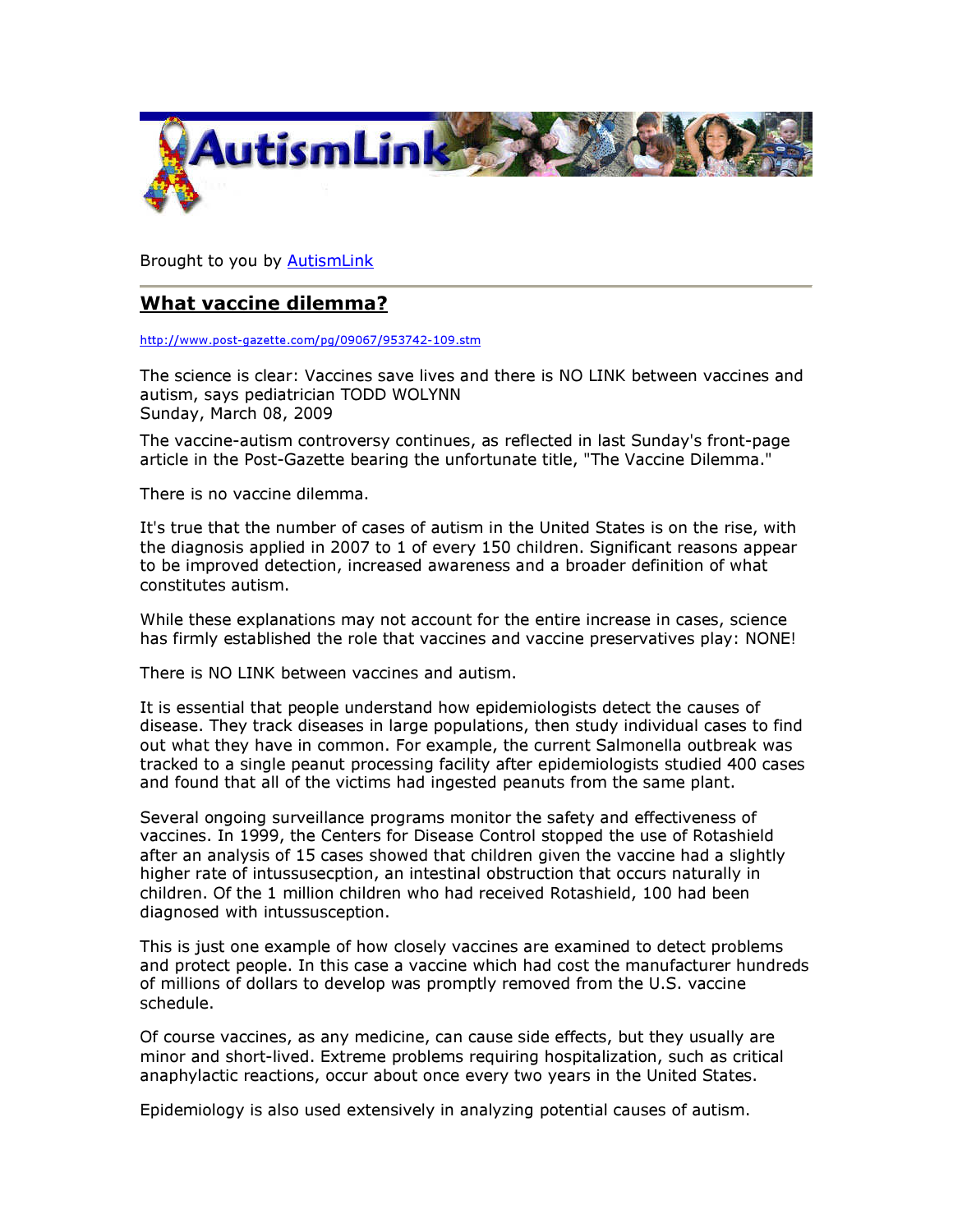

Brought to you by AutismLink

## What vaccine dilemma?

http://www.post-gazette.com/pg/09067/953742-109.stm

The science is clear: Vaccines save lives and there is NO LINK between vaccines and autism, says pediatrician TODD WOLYNN Sunday, March 08, 2009

The vaccine-autism controversy continues, as reflected in last Sunday's front-page article in the Post-Gazette bearing the unfortunate title, "The Vaccine Dilemma."

There is no vaccine dilemma.

It's true that the number of cases of autism in the United States is on the rise, with the diagnosis applied in 2007 to 1 of every 150 children. Significant reasons appear to be improved detection, increased awareness and a broader definition of what constitutes autism.

While these explanations may not account for the entire increase in cases, science has firmly established the role that vaccines and vaccine preservatives play: NONE!

There is NO LINK between vaccines and autism.

It is essential that people understand how epidemiologists detect the causes of disease. They track diseases in large populations, then study individual cases to find out what they have in common. For example, the current Salmonella outbreak was tracked to a single peanut processing facility after epidemiologists studied 400 cases and found that all of the victims had ingested peanuts from the same plant.

Several ongoing surveillance programs monitor the safety and effectiveness of vaccines. In 1999, the Centers for Disease Control stopped the use of Rotashield after an analysis of 15 cases showed that children given the vaccine had a slightly higher rate of intussusecption, an intestinal obstruction that occurs naturally in children. Of the 1 million children who had received Rotashield, 100 had been diagnosed with intussusception.

This is just one example of how closely vaccines are examined to detect problems and protect people. In this case a vaccine which had cost the manufacturer hundreds of millions of dollars to develop was promptly removed from the U.S. vaccine schedule.

Of course vaccines, as any medicine, can cause side effects, but they usually are minor and short-lived. Extreme problems requiring hospitalization, such as critical anaphylactic reactions, occur about once every two years in the United States.

Epidemiology is also used extensively in analyzing potential causes of autism.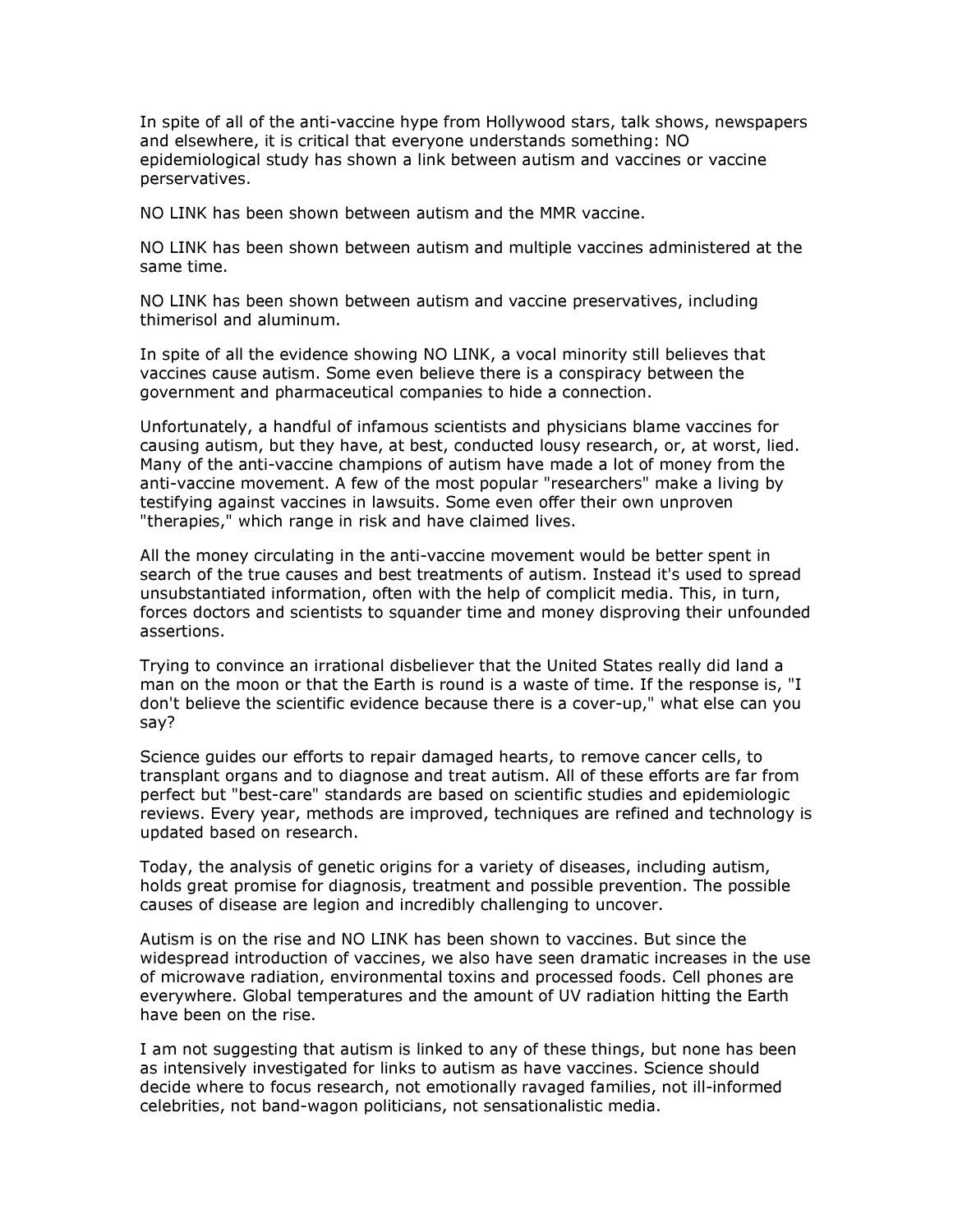In spite of all of the anti-vaccine hype from Hollywood stars, talk shows, newspapers and elsewhere, it is critical that everyone understands something: NO epidemiological study has shown a link between autism and vaccines or vaccine perservatives.

NO LINK has been shown between autism and the MMR vaccine.

NO LINK has been shown between autism and multiple vaccines administered at the same time.

NO LINK has been shown between autism and vaccine preservatives, including thimerisol and aluminum.

In spite of all the evidence showing NO LINK, a vocal minority still believes that vaccines cause autism. Some even believe there is a conspiracy between the government and pharmaceutical companies to hide a connection.

Unfortunately, a handful of infamous scientists and physicians blame vaccines for causing autism, but they have, at best, conducted lousy research, or, at worst, lied. Many of the anti-vaccine champions of autism have made a lot of money from the anti-vaccine movement. A few of the most popular "researchers" make a living by testifying against vaccines in lawsuits. Some even offer their own unproven "therapies," which range in risk and have claimed lives.

All the money circulating in the anti-vaccine movement would be better spent in search of the true causes and best treatments of autism. Instead it's used to spread unsubstantiated information, often with the help of complicit media. This, in turn, forces doctors and scientists to squander time and money disproving their unfounded assertions.

Trying to convince an irrational disbeliever that the United States really did land a man on the moon or that the Earth is round is a waste of time. If the response is, "I don't believe the scientific evidence because there is a cover-up," what else can you say?

Science guides our efforts to repair damaged hearts, to remove cancer cells, to transplant organs and to diagnose and treat autism. All of these efforts are far from perfect but "best-care" standards are based on scientific studies and epidemiologic reviews. Every year, methods are improved, techniques are refined and technology is updated based on research.

Today, the analysis of genetic origins for a variety of diseases, including autism, holds great promise for diagnosis, treatment and possible prevention. The possible causes of disease are legion and incredibly challenging to uncover.

Autism is on the rise and NO LINK has been shown to vaccines. But since the widespread introduction of vaccines, we also have seen dramatic increases in the use of microwave radiation, environmental toxins and processed foods. Cell phones are everywhere. Global temperatures and the amount of UV radiation hitting the Earth have been on the rise.

I am not suggesting that autism is linked to any of these things, but none has been as intensively investigated for links to autism as have vaccines. Science should decide where to focus research, not emotionally ravaged families, not ill-informed celebrities, not band-wagon politicians, not sensationalistic media.